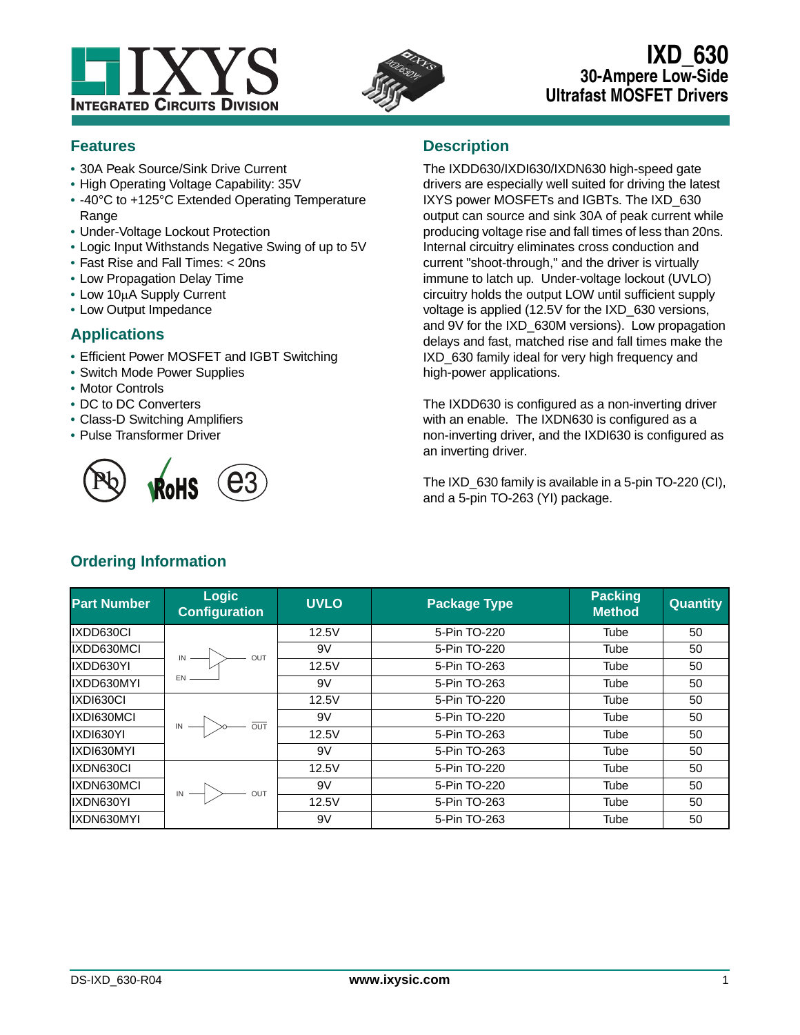



# **IXD\_630 30-Ampere Low-Side Ultrafast MOSFET Drivers**

# **Features**

- **•** 30A Peak Source/Sink Drive Current
- **•** High Operating Voltage Capability: 35V
- **•** -40°C to +125°C Extended Operating Temperature Range
- **•** Under-Voltage Lockout Protection
- **•** Logic Input Withstands Negative Swing of up to 5V
- **•** Fast Rise and Fall Times: < 20ns
- **•** Low Propagation Delay Time
- Low 10µA Supply Current
- **•** Low Output Impedance

# **Applications**

- **•** Efficient Power MOSFET and IGBT Switching
- **•** Switch Mode Power Supplies
- **•** Motor Controls
- **•** DC to DC Converters
- **•** Class-D Switching Amplifiers
- **•** Pulse Transformer Driver



# **Description**

The IXDD630/IXDI630/IXDN630 high-speed gate drivers are especially well suited for driving the latest IXYS power MOSFETs and IGBTs. The IXD\_630 output can source and sink 30A of peak current while producing voltage rise and fall times of less than 20ns. Internal circuitry eliminates cross conduction and current "shoot-through," and the driver is virtually immune to latch up. Under-voltage lockout (UVLO) circuitry holds the output LOW until sufficient supply voltage is applied (12.5V for the IXD\_630 versions, and 9V for the IXD\_630M versions). Low propagation delays and fast, matched rise and fall times make the IXD\_630 family ideal for very high frequency and high-power applications.

The IXDD630 is configured as a non-inverting driver with an enable. The IXDN630 is configured as a non-inverting driver, and the IXDI630 is configured as an inverting driver.

The IXD 630 family is available in a 5-pin TO-220 (CI), and a 5-pin TO-263 (YI) package.

| <b>Part Number</b> | <b>Logic</b><br><b>Configuration</b>        | <b>UVLO</b> | <b>Package Type</b> | <b>Packing</b><br><b>Method</b> | <b>Quantity</b> |
|--------------------|---------------------------------------------|-------------|---------------------|---------------------------------|-----------------|
| IXDD630CI          |                                             | 12.5V       | 5-Pin TO-220        | Tube                            | 50              |
| IXDD630MCI         | OUT                                         | 9V          | 5-Pin TO-220        | Tube                            | 50              |
| IXDD630YI          |                                             | 12.5V       | 5-Pin TO-263        | Tube                            | 50              |
| IXDD630MYI         | EN                                          | 9V          | 5-Pin TO-263        | Tube                            | 50              |
| IXDI630CI          |                                             | 12.5V       | 5-Pin TO-220        | Tube                            | 50              |
| IXDI630MCI         |                                             | 9V          | 5-Pin TO-220        | Tube                            | 50              |
| IXDI630YI          | $\overline{M}$ $\overline{M}$ $\rightarrow$ | 12.5V       | 5-Pin TO-263        | Tube                            | 50              |
| IXDI630MYI         |                                             | 9V          | 5-Pin TO-263        | Tube                            | 50              |
| IXDN630CI          |                                             | 12.5V       | 5-Pin TO-220        | Tube                            | 50              |
| IXDN630MCI         | OUT                                         | 9V          | 5-Pin TO-220        | Tube                            | 50              |
| IXDN630YI          |                                             | 12.5V       | 5-Pin TO-263        | Tube                            | 50              |
| IXDN630MYI         |                                             | 9V          | 5-Pin TO-263        | Tube                            | 50              |

# **Ordering Information**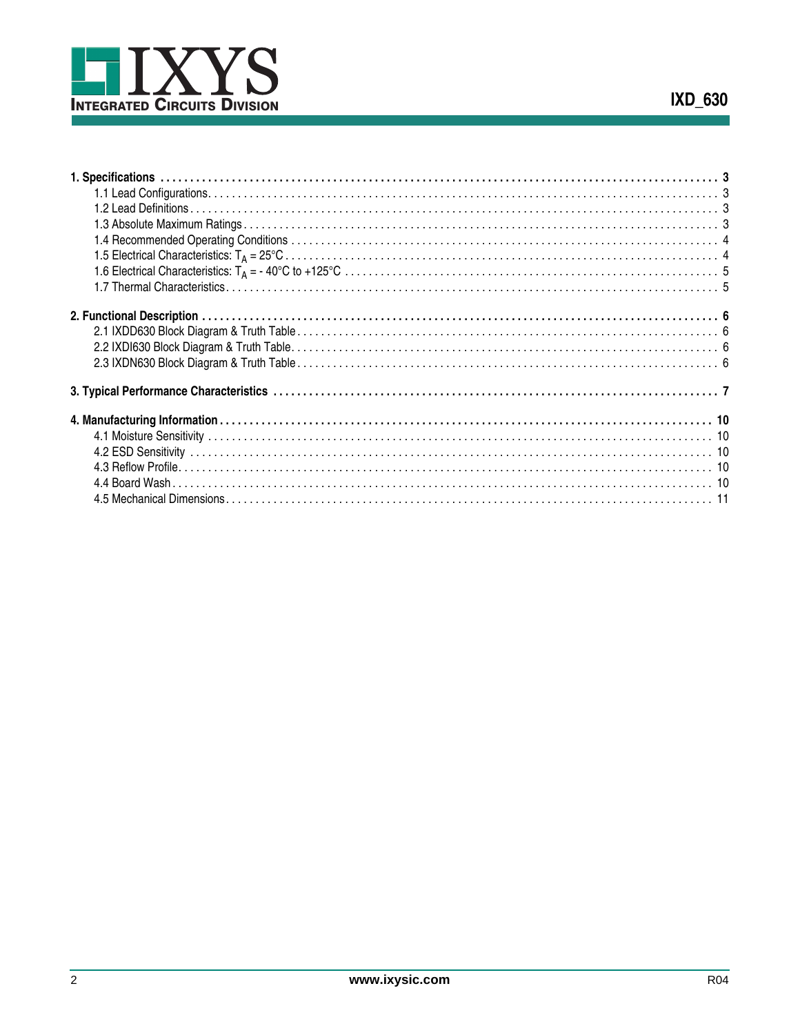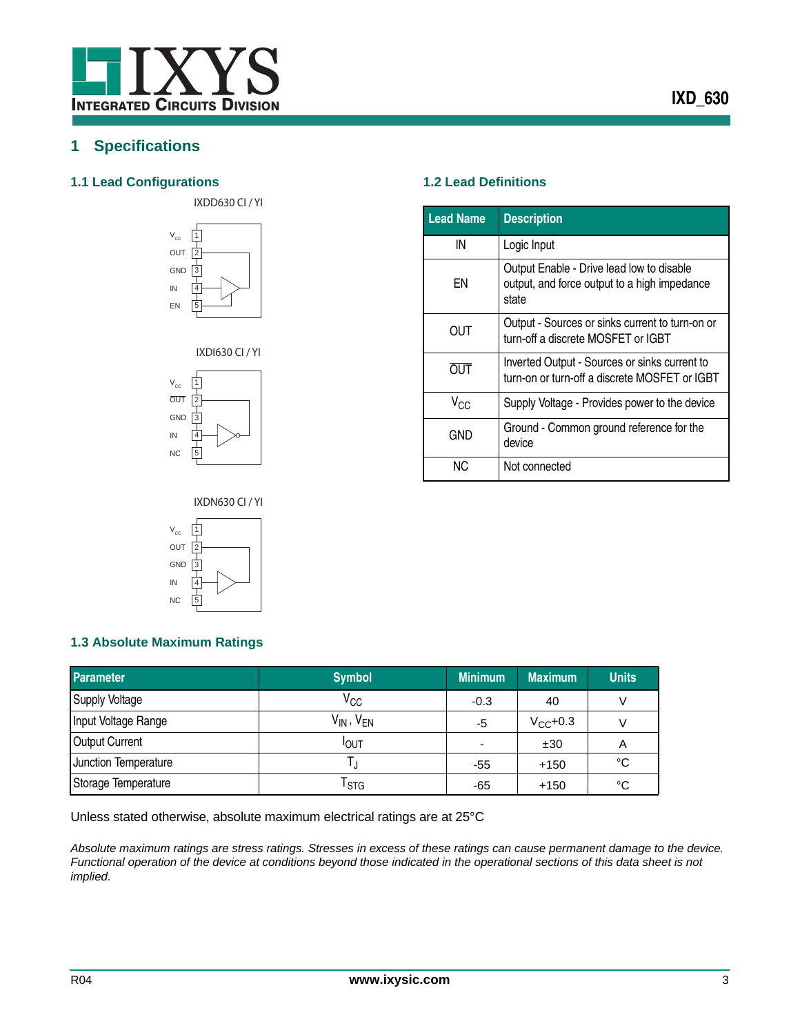

# <span id="page-2-0"></span>**1 Specifications**

## <span id="page-2-1"></span>**1.1 Lead Configurations 1.2 Lead Definitions**













<span id="page-2-2"></span>

| <b>Lead Name</b> | <b>Description</b>                                                                                 |
|------------------|----------------------------------------------------------------------------------------------------|
| IN               | Logic Input                                                                                        |
| ΕN               | Output Enable - Drive lead low to disable<br>output, and force output to a high impedance<br>state |
| OUT              | Output - Sources or sinks current to turn-on or<br>turn-off a discrete MOSFET or IGBT              |
| <b>OUT</b>       | Inverted Output - Sources or sinks current to<br>turn-on or turn-off a discrete MOSFET or IGBT     |
| $V_{CC}$         | Supply Voltage - Provides power to the device                                                      |
| <b>GND</b>       | Ground - Common ground reference for the<br>device                                                 |
| ΝC               | Not connected                                                                                      |

# IXDN630 CI / YI



## <span id="page-2-3"></span>**1.3 Absolute Maximum Ratings**

| <b>Parameter</b>      | <b>Symbol</b>       | <b>Minimum</b>           | <b>Maximum</b> | <b>Units</b> |
|-----------------------|---------------------|--------------------------|----------------|--------------|
| <b>Supply Voltage</b> | $V_{CC}$            | $-0.3$                   | 40             |              |
| Input Voltage Range   | $V_{IN}$ , $V_{EN}$ | -5                       | $V_{CC}$ +0.3  |              |
| <b>Output Current</b> | <b>I</b> OUT        | $\overline{\phantom{0}}$ | ±30            | Α            |
| Junction Temperature  |                     | -55                      | $+150$         | °C           |
| Storage Temperature   | l stg               | -65                      | $+150$         | °C           |

Unless stated otherwise, absolute maximum electrical ratings are at 25°C

*Absolute maximum ratings are stress ratings. Stresses in excess of these ratings can cause permanent damage to the device. Functional operation of the device at conditions beyond those indicated in the operational sections of this data sheet is not implied.*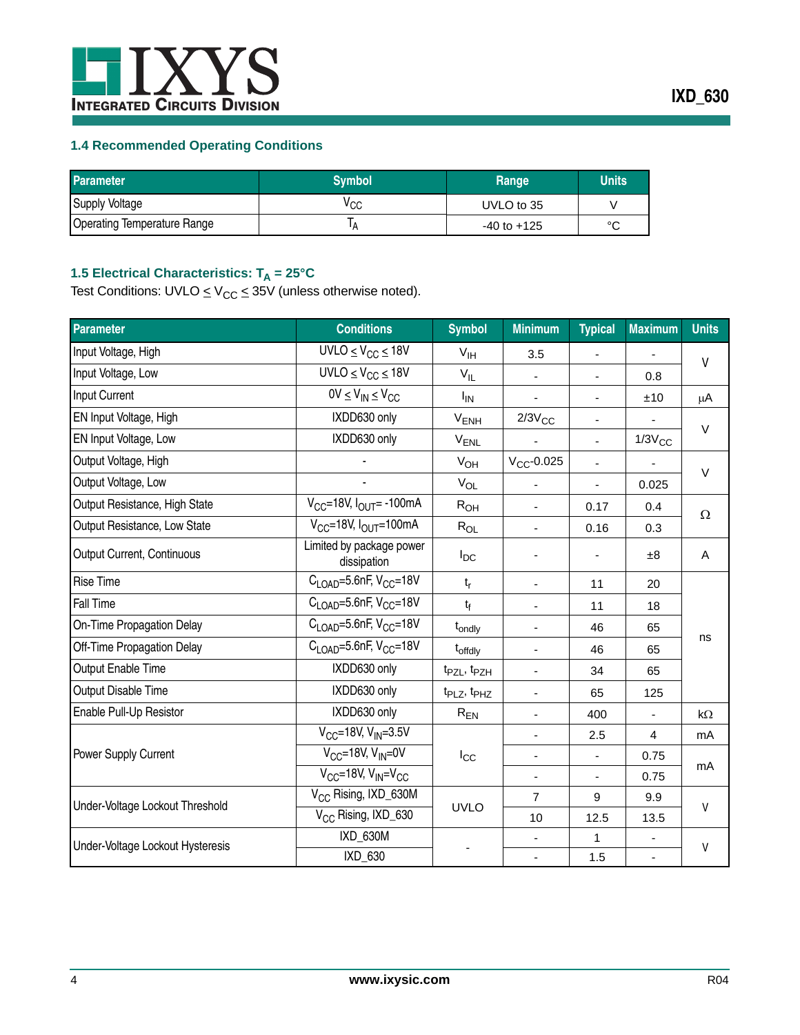

## <span id="page-3-0"></span>**1.4 Recommended Operating Conditions**

| <b>Parameter</b>                   | <b>Symbol</b> | Range           | <b>Units</b> |
|------------------------------------|---------------|-----------------|--------------|
| <b>Supply Voltage</b>              | ∨cc           | UVLO to 35      |              |
| <b>Operating Temperature Range</b> |               | $-40$ to $+125$ | $\circ$      |

## <span id="page-3-1"></span>1.5 Electrical Characteristics: T<sub>A</sub> = 25°C

Test Conditions: UVLO  $\leq$  V<sub>CC</sub>  $\leq$  35V (unless otherwise noted).

| <b>Parameter</b>                 | <b>Conditions</b>                                | <b>Symbol</b>                       | <b>Minimum</b>           | <b>Typical</b>           | <b>Maximum</b>           | <b>Units</b> |
|----------------------------------|--------------------------------------------------|-------------------------------------|--------------------------|--------------------------|--------------------------|--------------|
| Input Voltage, High              | $UVLO \leq V_{CC} \leq 18V$                      | V <sub>IH</sub>                     | 3.5                      | $\overline{\phantom{a}}$ | $\overline{\phantom{a}}$ | V            |
| Input Voltage, Low               | $UVLO \leq V_{CC} \leq 18V$                      | $V_{IL}$                            | $\blacksquare$           | $\blacksquare$           | 0.8                      |              |
| Input Current                    | $0V \leq V_{IN} \leq V_{CC}$                     | <b>I<sub>IN</sub></b>               |                          | $\blacksquare$           | ±10                      | μA           |
| EN Input Voltage, High           | IXDD630 only                                     | $V_{ENH}$                           | $2/3V_{CC}$              | $\overline{\phantom{a}}$ |                          |              |
| EN Input Voltage, Low            | IXDD630 only                                     | $V_{ENL}$                           |                          | $\blacksquare$           | $1/3V_{CC}$              | $\vee$       |
| Output Voltage, High             |                                                  | $V_{OH}$                            | $V_{CC}$ -0.025          |                          | $\overline{\phantom{a}}$ |              |
| Output Voltage, Low              |                                                  | $V_{OL}$                            |                          |                          | 0.025                    | $\vee$       |
| Output Resistance, High State    | $V_{CC}$ =18V, $I_{OUT}$ = -100mA                | $R_{OH}$                            |                          | 0.17                     | 0.4                      |              |
| Output Resistance, Low State     | $V_{CC}$ =18V, $I_{OUIT}$ =100mA                 | $R_{OL}$                            | $\overline{\phantom{a}}$ | 0.16                     | 0.3                      | $\Omega$     |
| Output Current, Continuous       | Limited by package power<br>dissipation          | $I_{DC}$                            |                          |                          | ±8                       | A            |
| <b>Rise Time</b>                 | $C_{\text{LOAD}} = 5.6$ nF, V <sub>CC</sub> =18V | $t_r$                               | $\blacksquare$           | 11                       | 20                       |              |
| Fall Time                        | $C1$ $0$ A <sub>D</sub> =5.6nF, $VCC$ =18V       | $t_{f}$                             | $\blacksquare$           | 11                       | 18                       |              |
| <b>On-Time Propagation Delay</b> | $CL$ <sub>OAD</sub> =5.6nF, V <sub>CC</sub> =18V | t <sub>ondly</sub>                  | $\overline{\phantom{a}}$ | 46                       | 65                       |              |
| Off-Time Propagation Delay       | $C_{\text{LOAD}} = 5.6$ nF, V <sub>CC</sub> =18V | t <sub>offdly</sub>                 | $\blacksquare$           | 46                       | 65                       | ns           |
| Output Enable Time               | IXDD630 only                                     | t <sub>PZL</sub> , t <sub>PZH</sub> | $\overline{\phantom{a}}$ | 34                       | 65                       |              |
| Output Disable Time              | IXDD630 only                                     | t <sub>PLZ</sub> , t <sub>PHZ</sub> | $\overline{\phantom{a}}$ | 65                       | 125                      |              |
| Enable Pull-Up Resistor          | IXDD630 only                                     | $\rm R_{EN}$                        | $\blacksquare$           | 400                      | $\blacksquare$           | $k\Omega$    |
|                                  | $V_{CC} = 18V, V_{IN} = 3.5V$                    |                                     |                          | 2.5                      | 4                        | mA           |
| Power Supply Current             | $V_{CC}$ =18V, $V_{IN}$ =0V                      | $I_{\rm CC}$                        |                          |                          | 0.75                     | mA           |
|                                  | $V_{CC}$ =18V, $V_{IN}$ = $V_{CC}$               |                                     | $\blacksquare$           | $\mathbf{r}$             | 0.75                     |              |
| Under-Voltage Lockout Threshold  | V <sub>CC</sub> Rising, IXD_630M                 | <b>UVLO</b>                         | $\overline{7}$           | 9                        | 9.9                      | V            |
|                                  | V <sub>CC</sub> Rising, IXD_630                  |                                     | 10                       | 12.5                     | 13.5                     |              |
| Under-Voltage Lockout Hysteresis | IXD_630M                                         |                                     |                          | 1                        |                          | v            |
|                                  | IXD_630                                          |                                     | $\blacksquare$           | 1.5                      | $\blacksquare$           |              |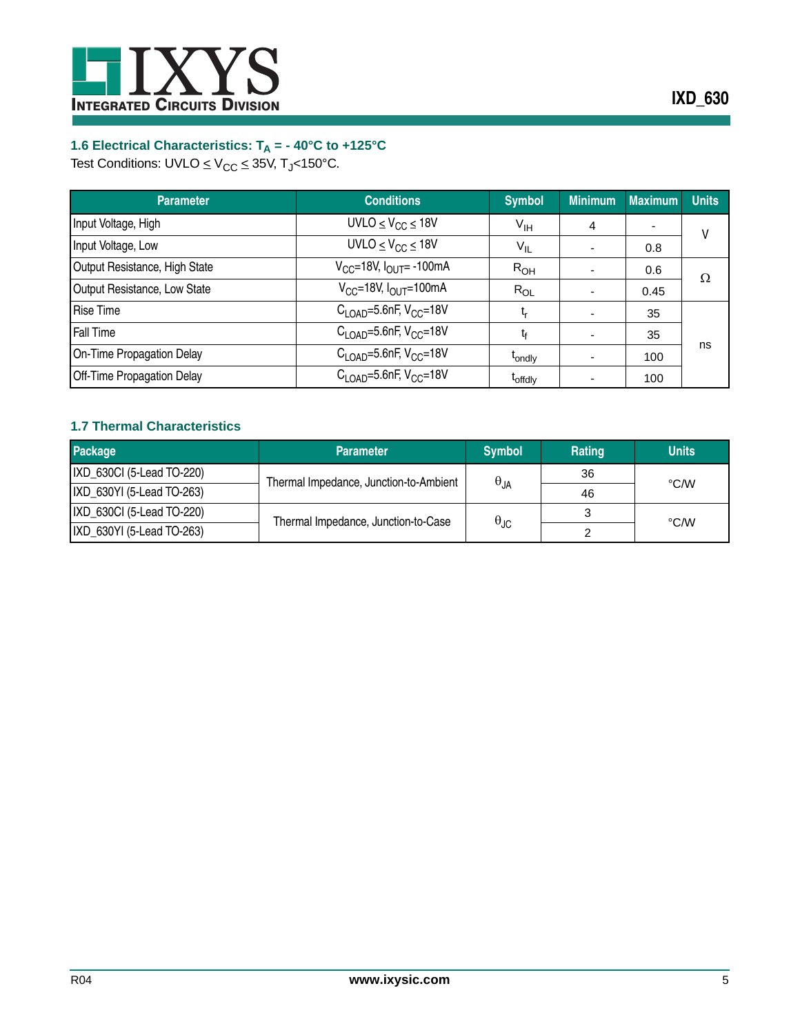

# <span id="page-4-0"></span>**1.6 Electrical Characteristics: TA = - 40°C to +125°C**

Test Conditions: UVLO  $\leq$  V<sub>CC</sub>  $\leq$  35V, T<sub>J</sub><150°C.

| <b>Parameter</b>              | <b>Conditions</b>                                  | <b>Symbol</b>       | <b>Minimum</b>           | <b>Maximum</b>           | <b>Units</b> |
|-------------------------------|----------------------------------------------------|---------------------|--------------------------|--------------------------|--------------|
| Input Voltage, High           | UVLO $\leq$ V <sub>CC</sub> $\leq$ 18V             | $V_{\text{IH}}$     | 4                        | $\overline{\phantom{0}}$ | V            |
| Input Voltage, Low            | UVLO $\leq$ V <sub>CC</sub> $\leq$ 18V             | $V_{IL}$            | $\overline{\phantom{0}}$ | 0.8                      |              |
| Output Resistance, High State | $V_{CC}$ =18V, $I_{OUT}$ = -100mA                  | R <sub>OH</sub>     | $\overline{\phantom{0}}$ | 0.6                      |              |
| Output Resistance, Low State  | $V_{CC}$ =18V, $I_{OUT}$ =100mA                    | $R_{OL}$            |                          | 0.45                     | Ω            |
| <b>Rise Time</b>              | $C_{1 \text{ OAD}} = 5.6$ nF, V <sub>CC</sub> =18V | t,                  | ۰                        | 35                       |              |
| <b>Fall Time</b>              | $C_{1 \text{ OAD}} = 5.6$ nF, V <sub>CC</sub> =18V | tŕ                  | ٠                        | 35                       |              |
| On-Time Propagation Delay     | $C1$ <sub>OAD</sub> =5.6nF, V <sub>CC</sub> =18V   | t <sub>ondly</sub>  |                          | 100                      | ns           |
| Off-Time Propagation Delay    | $C1$ <sub>OAD</sub> =5.6nF, $VCC$ =18V             | <sup>T</sup> offdlv |                          | 100                      |              |

## <span id="page-4-1"></span>**1.7 Thermal Characteristics**

| <b>Package</b>            | <b>Parameter</b>                       | <b>Symbol</b>        | <b>Rating</b> | <b>Units</b> |
|---------------------------|----------------------------------------|----------------------|---------------|--------------|
| IXD_630Cl (5-Lead TO-220) | Thermal Impedance, Junction-to-Ambient |                      | 36            |              |
| IXD 630YI (5-Lead TO-263) |                                        | $\theta_{JA}$        | 46            | °C/W         |
| IXD 630Cl (5-Lead TO-220) | Thermal Impedance, Junction-to-Case    | $\theta_{\text{JC}}$ |               | °C/W         |
| IXD 630YI (5-Lead TO-263) |                                        |                      |               |              |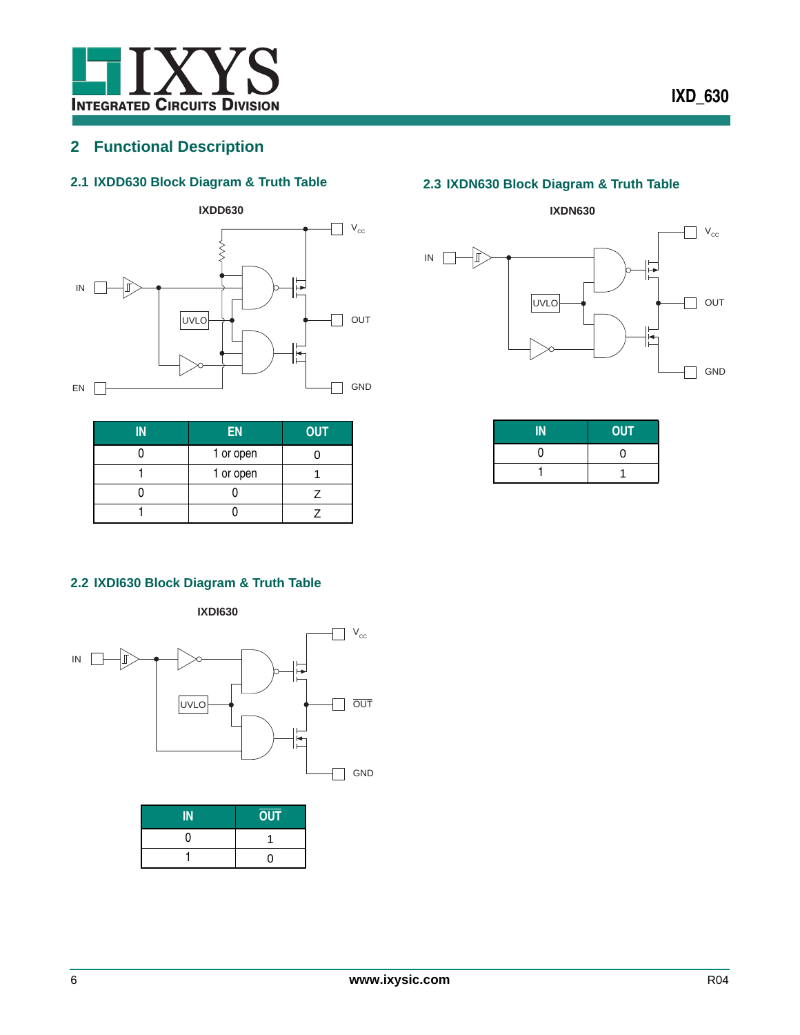

# <span id="page-5-0"></span>**2 Functional Description**

## <span id="page-5-1"></span>**2.1 IXDD630 Block Diagram & Truth Table**



| ΙN | <b>EN</b> | <b>OUT</b> |
|----|-----------|------------|
|    | 1 or open |            |
|    | 1 or open |            |
|    |           |            |
|    |           |            |

# <span id="page-5-3"></span>**2.3 IXDN630 Block Diagram & Truth Table**



| M | <b>OUT</b> |
|---|------------|
|   | וו         |
|   |            |

## <span id="page-5-2"></span>**2.2 IXDI630 Block Diagram & Truth Table**





| <b>OUT</b> |
|------------|
|            |
| ∩          |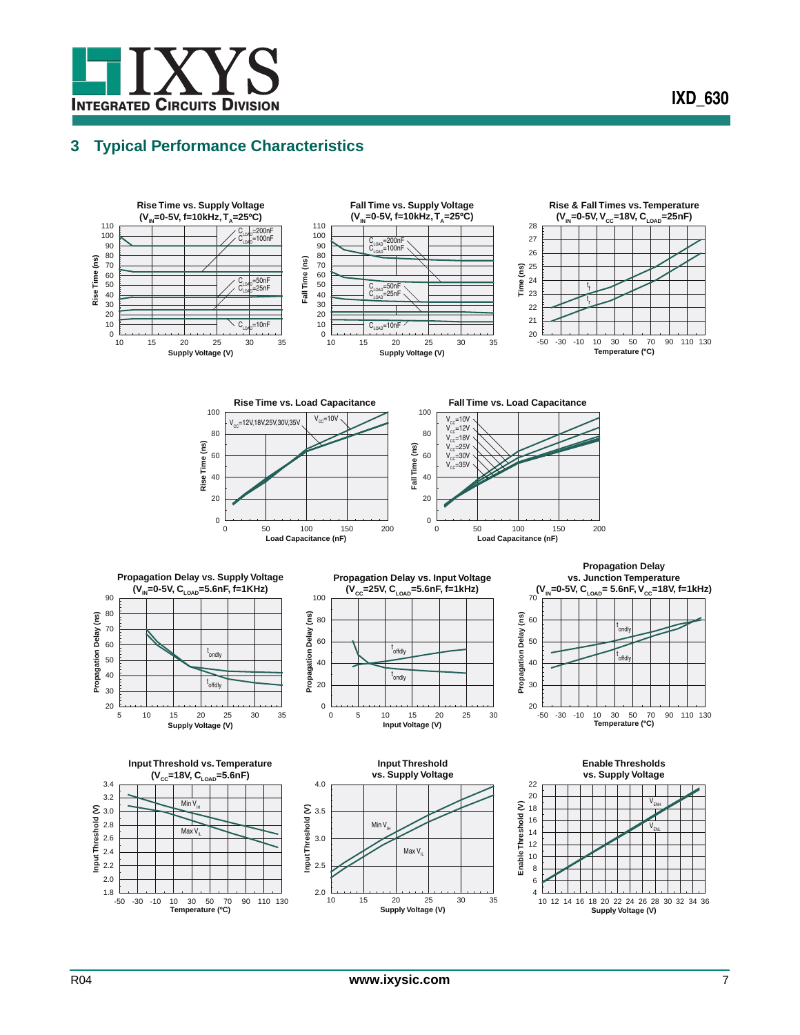

# <span id="page-6-0"></span>**3 Typical Performance Characteristics**

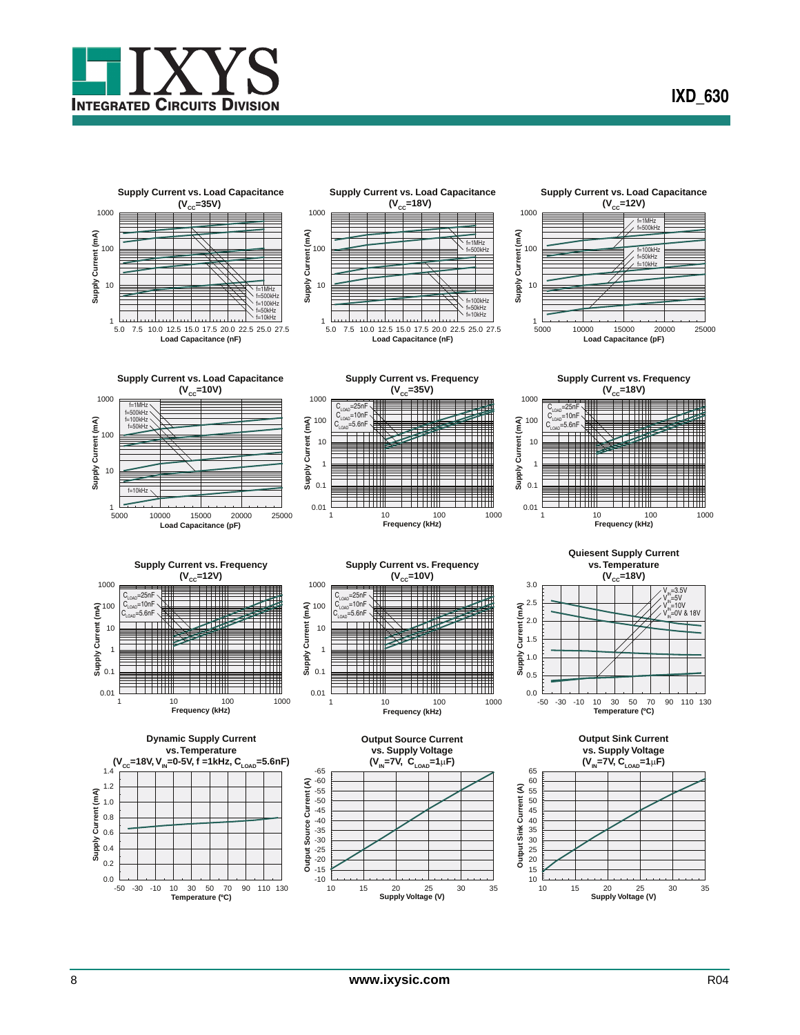



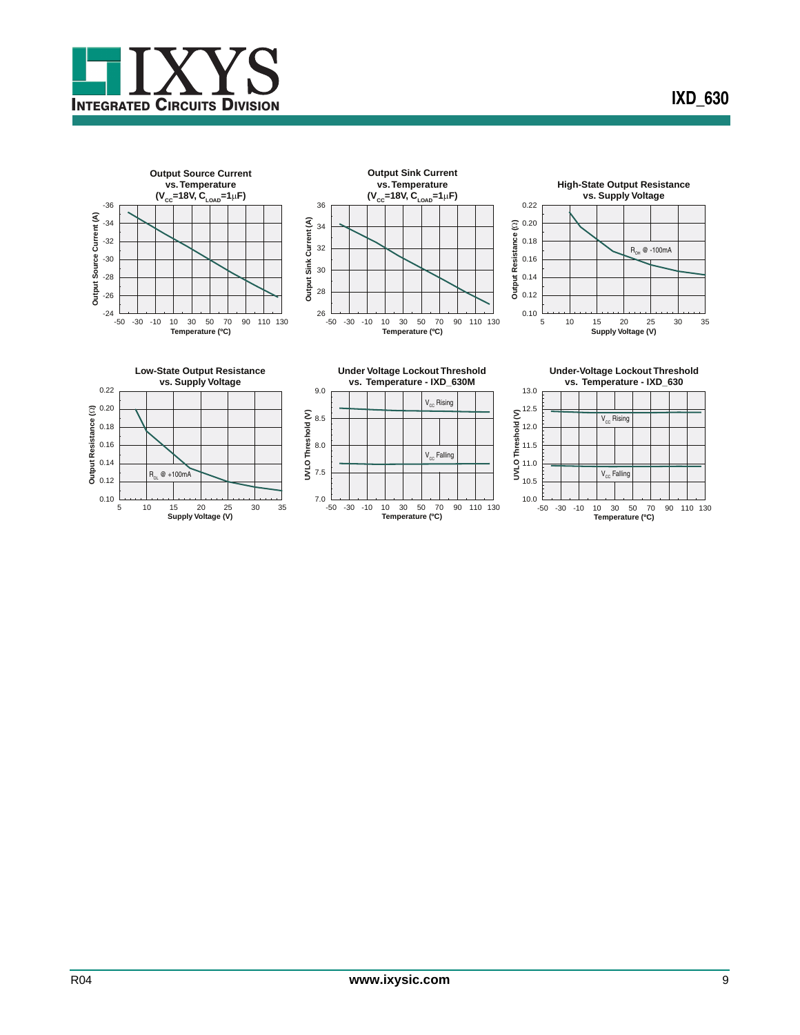













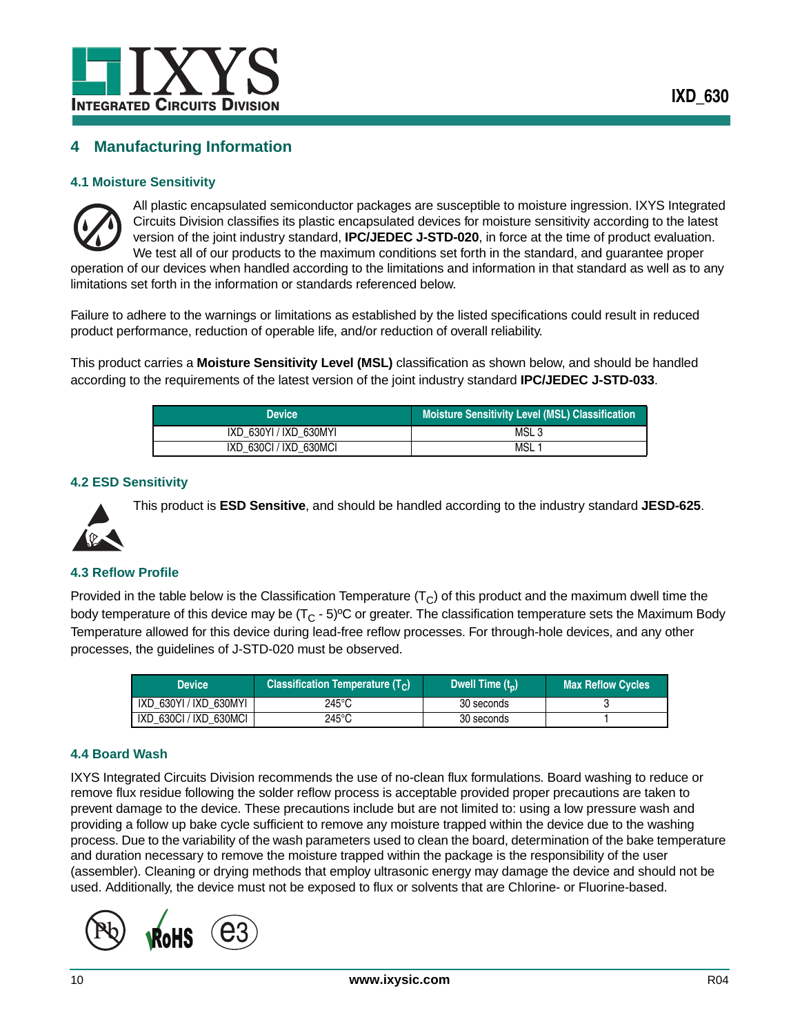

# <span id="page-9-0"></span>**4 Manufacturing Information**

#### <span id="page-9-1"></span>**4.1 Moisture Sensitivity**



All plastic encapsulated semiconductor packages are susceptible to moisture ingression. IXYS Integrated Circuits Division classifies its plastic encapsulated devices for moisture sensitivity according to the latest version of the joint industry standard, **IPC/JEDEC J-STD-020**, in force at the time of product evaluation. We test all of our products to the maximum conditions set forth in the standard, and guarantee proper

operation of our devices when handled according to the limitations and information in that standard as well as to any limitations set forth in the information or standards referenced below.

Failure to adhere to the warnings or limitations as established by the listed specifications could result in reduced product performance, reduction of operable life, and/or reduction of overall reliability.

This product carries a **Moisture Sensitivity Level (MSL)** classification as shown below, and should be handled according to the requirements of the latest version of the joint industry standard **IPC/JEDEC J-STD-033**.

| <b>Device</b>          | <b>Moisture Sensitivity Level (MSL) Classification</b> |
|------------------------|--------------------------------------------------------|
| IXD 630YI / IXD 630MYI | MSL <sub>3</sub>                                       |
| IXD 630CI / IXD 630MCI | MSL                                                    |

#### <span id="page-9-2"></span>**4.2 ESD Sensitivity**



This product is **ESD Sensitive**, and should be handled according to the industry standard **JESD-625**.

#### <span id="page-9-3"></span>**4.3 Reflow Profile**

Provided in the table below is the Classification Temperature  $(T<sub>C</sub>)$  of this product and the maximum dwell time the body temperature of this device may be  $(T<sub>C</sub> - 5)$ <sup>o</sup>C or greater. The classification temperature sets the Maximum Body Temperature allowed for this device during lead-free reflow processes. For through-hole devices, and any other processes, the guidelines of J-STD-020 must be observed.

| <b>Device</b>          | <b>Classification Temperature (T<sub>c</sub>)</b> | Dwell Time $(t_0)$ | <b>Max Reflow Cycles</b> |
|------------------------|---------------------------------------------------|--------------------|--------------------------|
| IXD 630YI / IXD 630MYI | 245°C                                             | 30 seconds         |                          |
| IXD 630CI / IXD 630MCI | 245°C                                             | 30 seconds         |                          |

#### <span id="page-9-4"></span>**4.4 Board Wash**

IXYS Integrated Circuits Division recommends the use of no-clean flux formulations. Board washing to reduce or remove flux residue following the solder reflow process is acceptable provided proper precautions are taken to prevent damage to the device. These precautions include but are not limited to: using a low pressure wash and providing a follow up bake cycle sufficient to remove any moisture trapped within the device due to the washing process. Due to the variability of the wash parameters used to clean the board, determination of the bake temperature and duration necessary to remove the moisture trapped within the package is the responsibility of the user (assembler). Cleaning or drying methods that employ ultrasonic energy may damage the device and should not be used. Additionally, the device must not be exposed to flux or solvents that are Chlorine- or Fluorine-based.

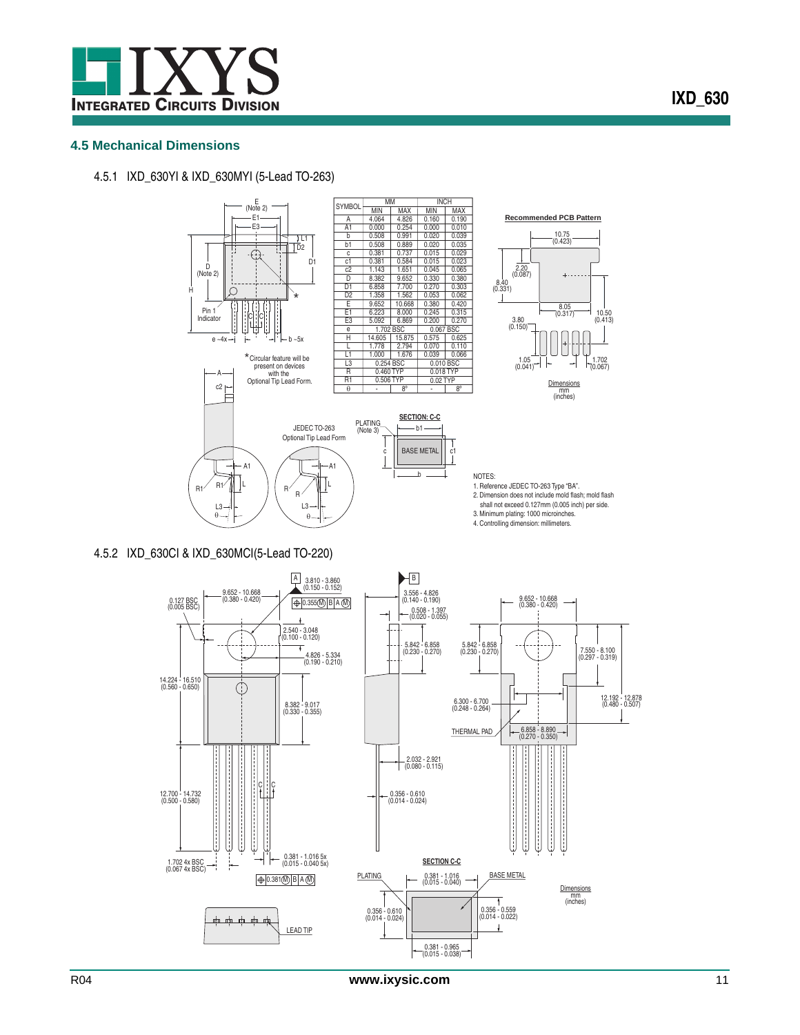

## <span id="page-10-0"></span>**4.5 Mechanical Dimensions**



4.5.1 IXD\_630YI & IXD\_630MYI (5-Lead TO-263)

4.5.2 IXD\_630CI & IXD\_630MCI(5-Lead TO-220)